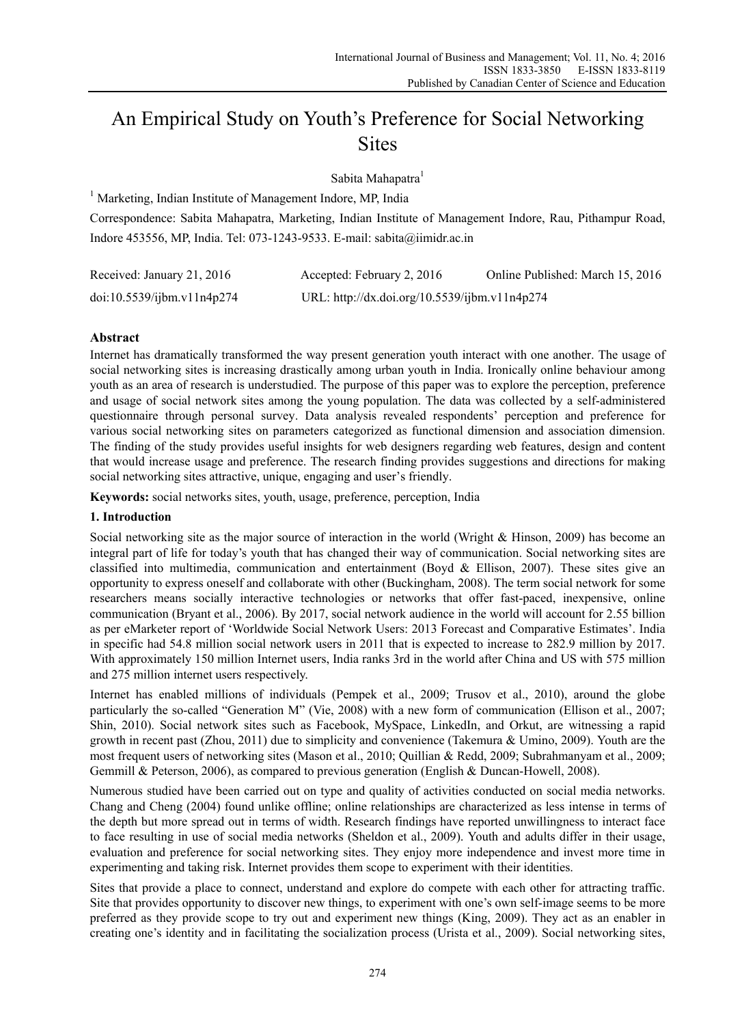# An Empirical Study on Youth's Preference for Social Networking **Sites**

Sabita Mahapatra<sup>1</sup>

<sup>1</sup> Marketing, Indian Institute of Management Indore, MP, India

Correspondence: Sabita Mahapatra, Marketing, Indian Institute of Management Indore, Rau, Pithampur Road, Indore 453556, MP, India. Tel: 073-1243-9533. E-mail: sabita@iimidr.ac.in

| Received: January 21, 2016 | Accepted: February 2, 2016                    | Online Published: March 15, 2016 |
|----------------------------|-----------------------------------------------|----------------------------------|
| doi:10.5539/ijbm.v11n4p274 | URL: http://dx.doi.org/10.5539/ijbm.v11n4p274 |                                  |

# **Abstract**

Internet has dramatically transformed the way present generation youth interact with one another. The usage of social networking sites is increasing drastically among urban youth in India. Ironically online behaviour among youth as an area of research is understudied. The purpose of this paper was to explore the perception, preference and usage of social network sites among the young population. The data was collected by a self-administered questionnaire through personal survey. Data analysis revealed respondents' perception and preference for various social networking sites on parameters categorized as functional dimension and association dimension. The finding of the study provides useful insights for web designers regarding web features, design and content that would increase usage and preference. The research finding provides suggestions and directions for making social networking sites attractive, unique, engaging and user's friendly.

**Keywords:** social networks sites, youth, usage, preference, perception, India

# **1. Introduction**

Social networking site as the major source of interaction in the world (Wright & Hinson, 2009) has become an integral part of life for today's youth that has changed their way of communication. Social networking sites are classified into multimedia, communication and entertainment (Boyd & Ellison, 2007). These sites give an opportunity to express oneself and collaborate with other (Buckingham, 2008). The term social network for some researchers means socially interactive technologies or networks that offer fast-paced, inexpensive, online communication (Bryant et al., 2006). By 2017, social network audience in the world will account for 2.55 billion as per eMarketer report of 'Worldwide Social Network Users: 2013 Forecast and Comparative Estimates'. India in specific had 54.8 million social network users in 2011 that is expected to increase to 282.9 million by 2017. With approximately 150 million Internet users, India ranks 3rd in the world after China and US with 575 million and 275 million internet users respectively.

Internet has enabled millions of individuals (Pempek et al., 2009; Trusov et al., 2010), around the globe particularly the so-called "Generation M" (Vie, 2008) with a new form of communication (Ellison et al., 2007; Shin, 2010). Social network sites such as Facebook, MySpace, LinkedIn, and Orkut, are witnessing a rapid growth in recent past (Zhou, 2011) due to simplicity and convenience (Takemura & Umino, 2009). Youth are the most frequent users of networking sites (Mason et al., 2010; Quillian & Redd, 2009; Subrahmanyam et al., 2009; Gemmill & Peterson, 2006), as compared to previous generation (English & Duncan-Howell, 2008).

Numerous studied have been carried out on type and quality of activities conducted on social media networks. Chang and Cheng (2004) found unlike offline; online relationships are characterized as less intense in terms of the depth but more spread out in terms of width. Research findings have reported unwillingness to interact face to face resulting in use of social media networks (Sheldon et al., 2009). Youth and adults differ in their usage, evaluation and preference for social networking sites. They enjoy more independence and invest more time in experimenting and taking risk. Internet provides them scope to experiment with their identities.

Sites that provide a place to connect, understand and explore do compete with each other for attracting traffic. Site that provides opportunity to discover new things, to experiment with one's own self-image seems to be more preferred as they provide scope to try out and experiment new things (King, 2009). They act as an enabler in creating one's identity and in facilitating the socialization process (Urista et al., 2009). Social networking sites,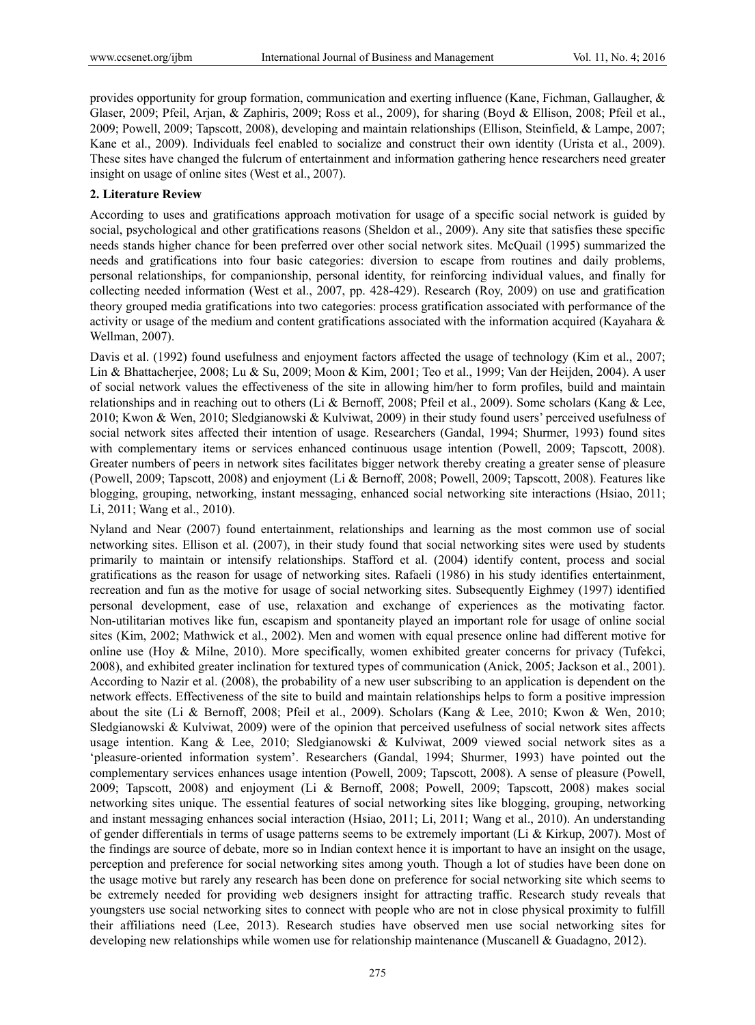provides opportunity for group formation, communication and exerting influence (Kane, Fichman, Gallaugher, & Glaser, 2009; Pfeil, Arjan, & Zaphiris, 2009; Ross et al., 2009), for sharing (Boyd & Ellison, 2008; Pfeil et al., 2009; Powell, 2009; Tapscott, 2008), developing and maintain relationships (Ellison, Steinfield, & Lampe, 2007; Kane et al., 2009). Individuals feel enabled to socialize and construct their own identity (Urista et al., 2009). These sites have changed the fulcrum of entertainment and information gathering hence researchers need greater insight on usage of online sites (West et al., 2007).

# **2. Literature Review**

According to uses and gratifications approach motivation for usage of a specific social network is guided by social, psychological and other gratifications reasons (Sheldon et al., 2009). Any site that satisfies these specific needs stands higher chance for been preferred over other social network sites. McQuail (1995) summarized the needs and gratifications into four basic categories: diversion to escape from routines and daily problems, personal relationships, for companionship, personal identity, for reinforcing individual values, and finally for collecting needed information (West et al., 2007, pp. 428-429). Research (Roy, 2009) on use and gratification theory grouped media gratifications into two categories: process gratification associated with performance of the activity or usage of the medium and content gratifications associated with the information acquired (Kayahara & Wellman, 2007).

Davis et al. (1992) found usefulness and enjoyment factors affected the usage of technology (Kim et al., 2007; Lin & Bhattacherjee, 2008; Lu & Su, 2009; Moon & Kim, 2001; Teo et al., 1999; Van der Heijden, 2004). A user of social network values the effectiveness of the site in allowing him/her to form profiles, build and maintain relationships and in reaching out to others (Li & Bernoff, 2008; Pfeil et al., 2009). Some scholars (Kang & Lee, 2010; Kwon & Wen, 2010; Sledgianowski & Kulviwat, 2009) in their study found users' perceived usefulness of social network sites affected their intention of usage. Researchers (Gandal, 1994; Shurmer, 1993) found sites with complementary items or services enhanced continuous usage intention (Powell, 2009; Tapscott, 2008). Greater numbers of peers in network sites facilitates bigger network thereby creating a greater sense of pleasure (Powell, 2009; Tapscott, 2008) and enjoyment (Li & Bernoff, 2008; Powell, 2009; Tapscott, 2008). Features like blogging, grouping, networking, instant messaging, enhanced social networking site interactions (Hsiao, 2011; Li, 2011; Wang et al., 2010).

Nyland and Near (2007) found entertainment, relationships and learning as the most common use of social networking sites. Ellison et al. (2007), in their study found that social networking sites were used by students primarily to maintain or intensify relationships. Stafford et al. (2004) identify content, process and social gratifications as the reason for usage of networking sites. Rafaeli (1986) in his study identifies entertainment, recreation and fun as the motive for usage of social networking sites. Subsequently Eighmey (1997) identified personal development, ease of use, relaxation and exchange of experiences as the motivating factor. Non-utilitarian motives like fun, escapism and spontaneity played an important role for usage of online social sites (Kim, 2002; Mathwick et al., 2002). Men and women with equal presence online had different motive for online use (Hoy & Milne, 2010). More specifically, women exhibited greater concerns for privacy (Tufekci, 2008), and exhibited greater inclination for textured types of communication (Anick, 2005; Jackson et al., 2001). According to Nazir et al. (2008), the probability of a new user subscribing to an application is dependent on the network effects. Effectiveness of the site to build and maintain relationships helps to form a positive impression about the site (Li & Bernoff, 2008; Pfeil et al., 2009). Scholars (Kang & Lee, 2010; Kwon & Wen, 2010; Sledgianowski & Kulviwat, 2009) were of the opinion that perceived usefulness of social network sites affects usage intention. Kang & Lee, 2010; Sledgianowski & Kulviwat, 2009 viewed social network sites as a 'pleasure-oriented information system'. Researchers (Gandal, 1994; Shurmer, 1993) have pointed out the complementary services enhances usage intention (Powell, 2009; Tapscott, 2008). A sense of pleasure (Powell, 2009; Tapscott, 2008) and enjoyment (Li & Bernoff, 2008; Powell, 2009; Tapscott, 2008) makes social networking sites unique. The essential features of social networking sites like blogging, grouping, networking and instant messaging enhances social interaction (Hsiao, 2011; Li, 2011; Wang et al., 2010). An understanding of gender differentials in terms of usage patterns seems to be extremely important (Li & Kirkup, 2007). Most of the findings are source of debate, more so in Indian context hence it is important to have an insight on the usage, perception and preference for social networking sites among youth. Though a lot of studies have been done on the usage motive but rarely any research has been done on preference for social networking site which seems to be extremely needed for providing web designers insight for attracting traffic. Research study reveals that youngsters use social networking sites to connect with people who are not in close physical proximity to fulfill their affiliations need (Lee, 2013). Research studies have observed men use social networking sites for developing new relationships while women use for relationship maintenance (Muscanell & Guadagno, 2012).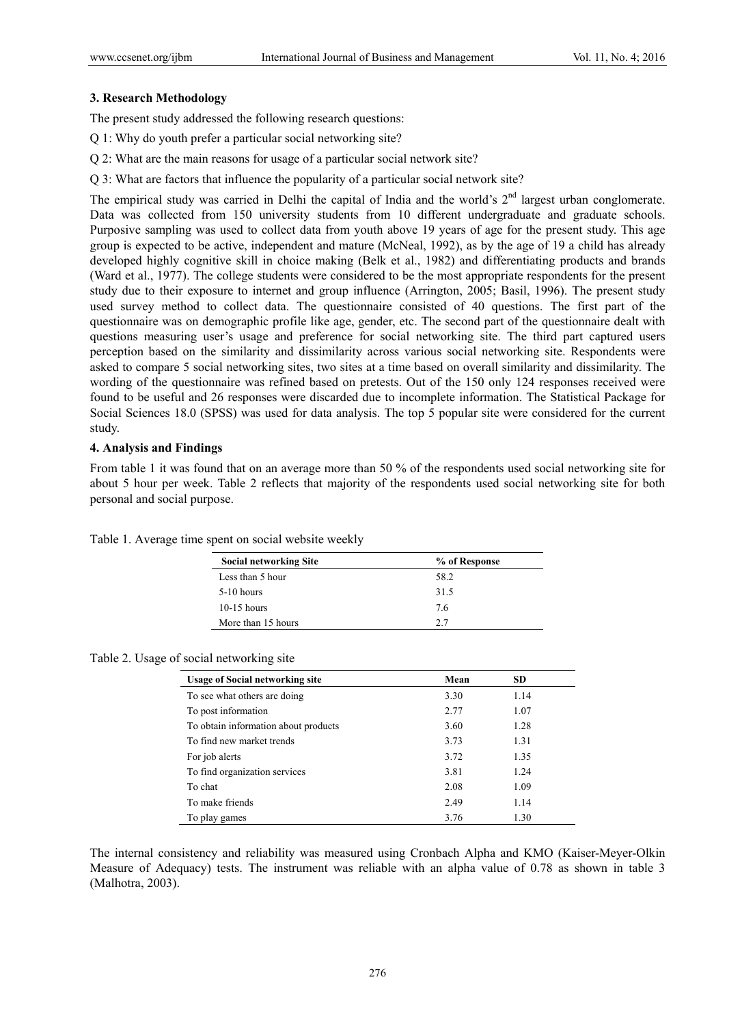## **3. Research Methodology**

The present study addressed the following research questions:

- Q 1: Why do youth prefer a particular social networking site?
- Q 2: What are the main reasons for usage of a particular social network site?
- Q 3: What are factors that influence the popularity of a particular social network site?

The empirical study was carried in Delhi the capital of India and the world's 2<sup>nd</sup> largest urban conglomerate. Data was collected from 150 university students from 10 different undergraduate and graduate schools. Purposive sampling was used to collect data from youth above 19 years of age for the present study. This age group is expected to be active, independent and mature (McNeal, 1992), as by the age of 19 a child has already developed highly cognitive skill in choice making (Belk et al., 1982) and differentiating products and brands (Ward et al., 1977). The college students were considered to be the most appropriate respondents for the present study due to their exposure to internet and group influence (Arrington, 2005; Basil, 1996). The present study used survey method to collect data. The questionnaire consisted of 40 questions. The first part of the questionnaire was on demographic profile like age, gender, etc. The second part of the questionnaire dealt with questions measuring user's usage and preference for social networking site. The third part captured users perception based on the similarity and dissimilarity across various social networking site. Respondents were asked to compare 5 social networking sites, two sites at a time based on overall similarity and dissimilarity. The wording of the questionnaire was refined based on pretests. Out of the 150 only 124 responses received were found to be useful and 26 responses were discarded due to incomplete information. The Statistical Package for Social Sciences 18.0 (SPSS) was used for data analysis. The top 5 popular site were considered for the current study.

#### **4. Analysis and Findings**

From table 1 it was found that on an average more than 50 % of the respondents used social networking site for about 5 hour per week. Table 2 reflects that majority of the respondents used social networking site for both personal and social purpose.

| <b>Social networking Site</b> | % of Response |  |
|-------------------------------|---------------|--|
| Less than 5 hour              | 58.2          |  |
| $5-10$ hours                  | 31.5          |  |
| $10-15$ hours                 | 7.6           |  |
| More than 15 hours            | 27            |  |

Table 1. Average time spent on social website weekly

Table 2. Usage of social networking site

| <b>Usage of Social networking site</b> | Mean | <b>SD</b> |
|----------------------------------------|------|-----------|
| To see what others are doing           | 3.30 | 1.14      |
| To post information                    | 2.77 | 1.07      |
| To obtain information about products   | 3.60 | 1.28      |
| To find new market trends              | 3.73 | 1.31      |
| For job alerts                         | 3.72 | 1.35      |
| To find organization services          | 3.81 | 1.24      |
| To chat                                | 2.08 | 1.09      |
| To make friends                        | 2.49 | 1.14      |
| To play games                          | 3.76 | 1.30      |

The internal consistency and reliability was measured using Cronbach Alpha and KMO (Kaiser-Meyer-Olkin Measure of Adequacy) tests. The instrument was reliable with an alpha value of 0.78 as shown in table 3 (Malhotra, 2003).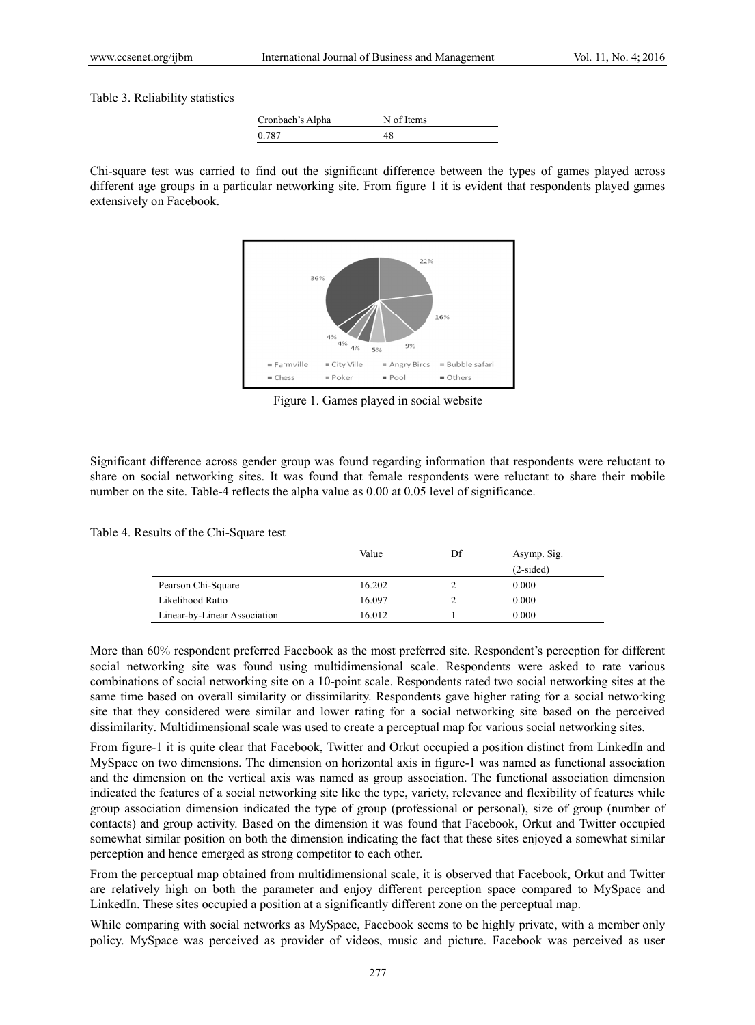Table 3. Reliability statistics

| Cronbach's Alpha | N of Items |
|------------------|------------|
| 0.787            |            |

Cronbach's Alpha N of Items<br>
0.787 48<br>
Chi-square test was carried to find out the significant difference between the types of games played across different age groups in a particular networking site. From figure 1 it is evident that respondents played games extensively on Facebook.



Figure 1. Games played in social website

Significant difference across gender group was found regarding information that respondents were reluctant to share on social networking sites. It was found that female respondents were reluctant to share their mobile number on the site. Table-4 reflects the alpha value as 0.00 at 0.05 level of significance.

| Table 4. Results of the Chi-Square test |  |  |
|-----------------------------------------|--|--|
|-----------------------------------------|--|--|

|                              | Value  | Df | Asymp. Sig. |
|------------------------------|--------|----|-------------|
|                              |        |    | $(2-sided)$ |
| Pearson Chi-Square           | 16.202 | 2  | 0.000       |
| Likelihood Ratio             | 16.097 |    | 0.000       |
| Linear-by-Linear Association | 16.012 |    | 0.000       |

More than 60% respondent preferred Facebook as the most preferred site. Respondent's perception for different social networking site was found using multidimensional scale. Respondents were asked to rate various combinations of social networking site on a 10-point scale. Respondents rated two social networking sites at the same time based on overall similarity or dissimilarity. Respondents gave higher rating for a social networking site that they considered were similar and lower rating for a social networking site based on the perceived dissimilarity. Multidimensional scale was used to create a perceptual map for various social networking sites.

From figure-1 it is quite clear that Facebook, Twitter and Orkut occupied a position distinct from LinkedIn and MySpace on two dimensions. The dimension on horizontal axis in figure-1 was named as functional association and the dimension on the vertical axis was named as group association. The functional association dimension indicated the features of a social networking site like the type, variety, relevance and flexibility of features while group association dimension indicated the type of group (professional or personal), size of group (number of contacts) and group activity. Based on the dimension it was found that Facebook, Orkut and Twitter occupied somewhat similar position on both the dimension indicating the fact that these sites enjoyed a somewhat similar perception and hence emerged as strong competitor to each other.

From the perceptual map obtained from multidimensional scale, it is observed that Facebook, Orkut and Twitter are relatively high on both the parameter and enjoy different perception space compared to MySpace and LinkedIn. These sites occupied a position at a significantly different zone on the perceptual map.

While comparing with social networks as MySpace, Facebook seems to be highly private, with a member only policy. MySpace was perceived as provider of videos, music and picture. Facebook was perceived as user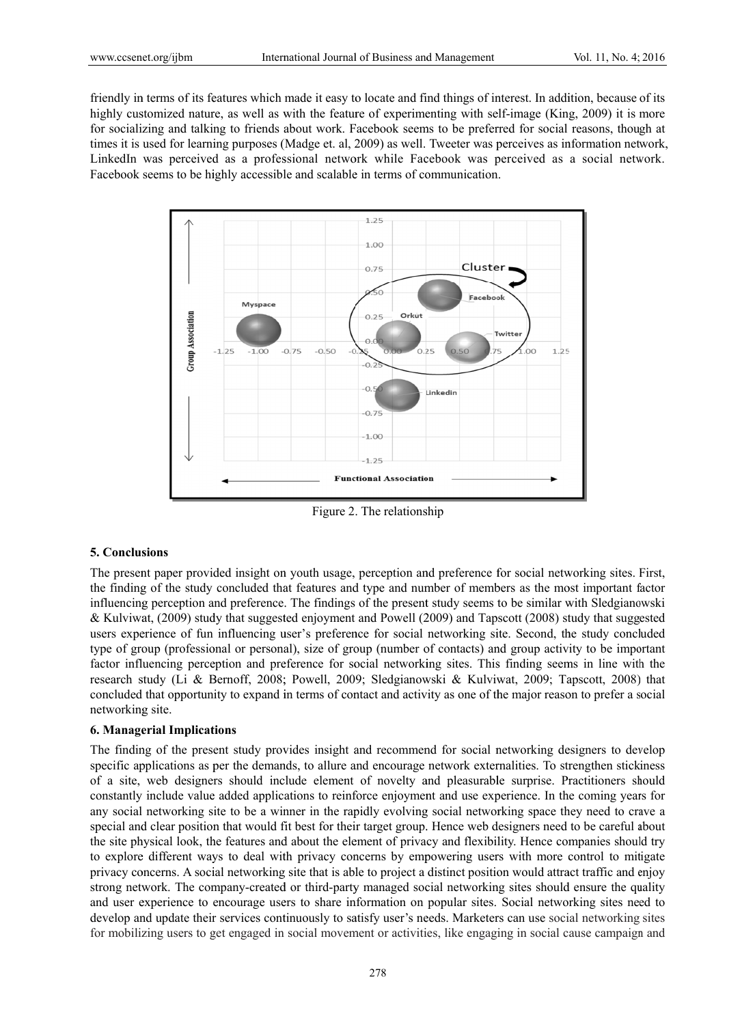friendly in terms of its features which made it easy to locate and find things of interest. In addition, because of its highly customized nature, as well as with the feature of experimenting with self-image (King, 2009) it is more for socializing and talking to friends about work. Facebook seems to be preferred for social reasons, though at times it is used for learning purposes (Madge et. al, 2009) as well. Tweeter was perceives as information network, LinkedIn was perceived as a professional network while Facebook was perceived as a social network. Facebook seems to be highly accessible and scalable in terms of communication.



Figure 2. The relationship

# **5. Conclus sions**

The present paper provided insight on youth usage, perception and preference for social networking sites. First, the finding of the study concluded that features and type and number of members as the most important factor influencing perception and preference. The findings of the present study seems to be similar with Sledgianowski  $&$  Kulviwat, (2009) study that suggested enjoyment and Powell (2009) and Tapscott (2008) study that suggested users experience of fun influencing user's preference for social networking site. Second, the study concluded type of group (professional or personal), size of group (number of contacts) and group activity to be important factor influencing perception and preference for social networking sites. This finding seems in line with the research study (Li & Bernoff, 2008; Powell, 2009; Sledgianowski & Kulviwat, 2009; Tapscott, 2008) that concluded that opportunity to expand in terms of contact and activity as one of the major reason to prefer a social networking g site.

# **6. Manage erial Implicat tions**

The finding of the present study provides insight and recommend for social networking designers to develop specific applications as per the demands, to allure and encourage network externalities. To strengthen stickiness of a site, web designers should include element of novelty and pleasurable surprise. Practitioners should constantly include value added applications to reinforce enjoyment and use experience. In the coming years for any social networking site to be a winner in the rapidly evolving social networking space they need to crave a special and clear position that would fit best for their target group. Hence web designers need to be careful about the site physical look, the features and about the element of privacy and flexibility. Hence companies should try to explore different ways to deal with privacy concerns by empowering users with more control to mitigate privacy concerns. A social networking site that is able to project a distinct position would attract traffic and enjoy strong network. The company-created or third-party managed social networking sites should ensure the quality and user experience to encourage users to share information on popular sites. Social networking sites need to develop and update their services continuously to satisfy user's needs. Marketers can use social networking sites for mobilizing users to get engaged in social movement or activities, like engaging in social cause campaign and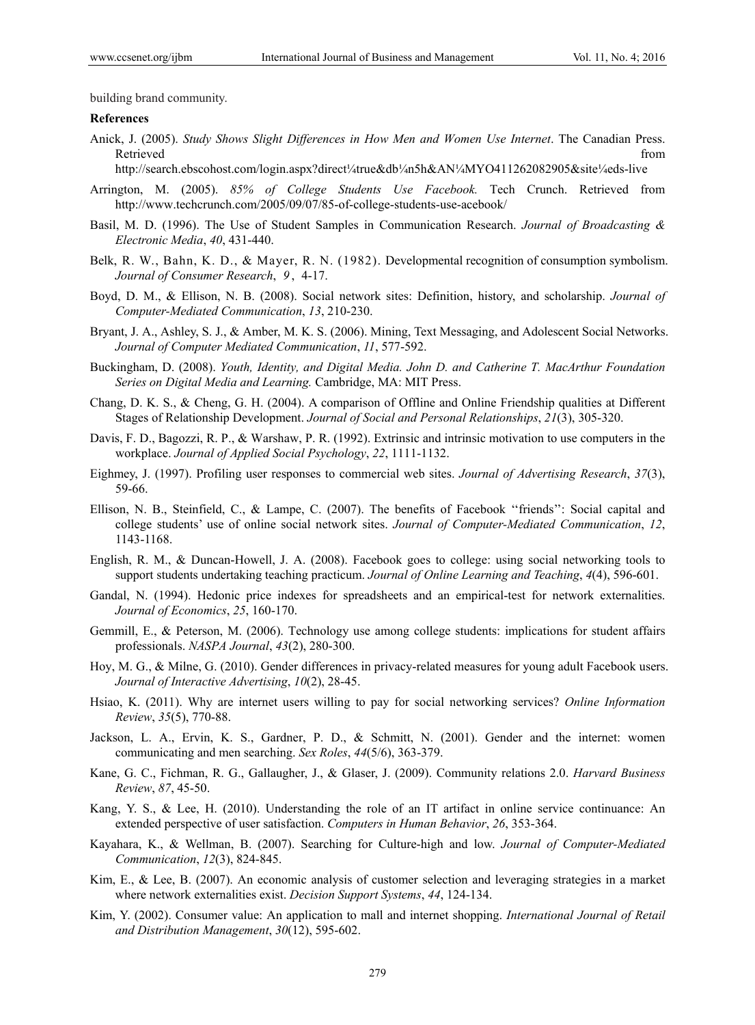building brand community.

#### **References**

Anick, J. (2005). *Study Shows Slight Differences in How Men and Women Use Internet*. The Canadian Press. Retrieved that the contract of the contract of the contract of the contract of the contract of the contract of the contract of the contract of the contract of the contract of the contract of the contract of the contract of

http://search.ebscohost.com/login.aspx?direct¼true&db¼n5h&AN¼MYO411262082905&site¼eds-live

- Arrington, M. (2005). *85% of College Students Use Facebook.* Tech Crunch. Retrieved from http://www.techcrunch.com/2005/09/07/85-of-college-students-use-acebook/
- Basil, M. D. (1996). The Use of Student Samples in Communication Research. *Journal of Broadcasting & Electronic Media*, *40*, 431-440.
- Belk, R. W., Bahn, K. D., & Mayer, R. N. (1982). Developmental recognition of consumption symbolism. *Journal of Consumer Research*, *9* , 4-17.
- Boyd, D. M., & Ellison, N. B. (2008). Social network sites: Definition, history, and scholarship. *Journal of Computer-Mediated Communication*, *13*, 210-230.
- Bryant, J. A., Ashley, S. J., & Amber, M. K. S. (2006). Mining, Text Messaging, and Adolescent Social Networks. *Journal of Computer Mediated Communication*, *11*, 577-592.
- Buckingham, D. (2008). *Youth, Identity, and Digital Media. John D. and Catherine T. MacArthur Foundation Series on Digital Media and Learning.* Cambridge, MA: MIT Press.
- Chang, D. K. S., & Cheng, G. H. (2004). A comparison of Offline and Online Friendship qualities at Different Stages of Relationship Development. *Journal of Social and Personal Relationships*, *21*(3), 305-320.
- Davis, F. D., Bagozzi, R. P., & Warshaw, P. R. (1992). Extrinsic and intrinsic motivation to use computers in the workplace. *Journal of Applied Social Psychology*, *22*, 1111-1132.
- Eighmey, J. (1997). Profiling user responses to commercial web sites. *Journal of Advertising Research*, *37*(3), 59-66.
- Ellison, N. B., Steinfield, C., & Lampe, C. (2007). The benefits of Facebook ''friends'': Social capital and college students' use of online social network sites. *Journal of Computer-Mediated Communication*, *12*, 1143-1168.
- English, R. M., & Duncan-Howell, J. A. (2008). Facebook goes to college: using social networking tools to support students undertaking teaching practicum. *Journal of Online Learning and Teaching*, *4*(4), 596-601.
- Gandal, N. (1994). Hedonic price indexes for spreadsheets and an empirical-test for network externalities. *Journal of Economics*, *25*, 160-170.
- Gemmill, E., & Peterson, M. (2006). Technology use among college students: implications for student affairs professionals. *NASPA Journal*, *43*(2), 280-300.
- Hoy, M. G., & Milne, G. (2010). Gender differences in privacy-related measures for young adult Facebook users. *Journal of Interactive Advertising*, *10*(2), 28-45.
- Hsiao, K. (2011). Why are internet users willing to pay for social networking services? *Online Information Review*, *35*(5), 770-88.
- Jackson, L. A., Ervin, K. S., Gardner, P. D., & Schmitt, N. (2001). Gender and the internet: women communicating and men searching. *Sex Roles*, *44*(5/6), 363-379.
- Kane, G. C., Fichman, R. G., Gallaugher, J., & Glaser, J. (2009). Community relations 2.0. *Harvard Business Review*, *87*, 45-50.
- Kang, Y. S., & Lee, H. (2010). Understanding the role of an IT artifact in online service continuance: An extended perspective of user satisfaction. *Computers in Human Behavior*, *26*, 353-364.
- Kayahara, K., & Wellman, B. (2007). Searching for Culture-high and low. *Journal of Computer-Mediated Communication*, *12*(3), 824-845.
- Kim, E., & Lee, B. (2007). An economic analysis of customer selection and leveraging strategies in a market where network externalities exist. *Decision Support Systems*, *44*, 124-134.
- Kim, Y. (2002). Consumer value: An application to mall and internet shopping. *International Journal of Retail and Distribution Management*, *30*(12), 595-602.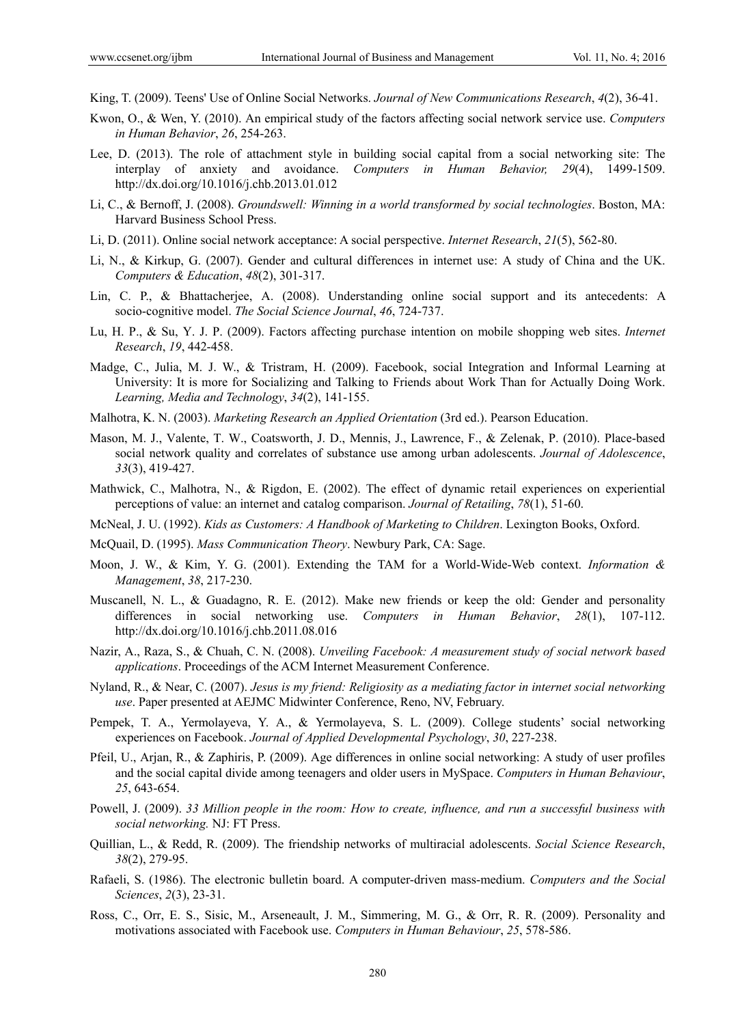- King, T. (2009). Teens' Use of Online Social Networks. *Journal of New Communications Research*, *4*(2), 36-41.
- Kwon, O., & Wen, Y. (2010). An empirical study of the factors affecting social network service use. *Computers in Human Behavior*, *26*, 254-263.
- Lee, D. (2013). The role of attachment style in building social capital from a social networking site: The interplay of anxiety and avoidance. *Computers in Human Behavior, 29*(4), 1499-1509. http://dx.doi.org/10.1016/j.chb.2013.01.012
- Li, C., & Bernoff, J. (2008). *Groundswell: Winning in a world transformed by social technologies*. Boston, MA: Harvard Business School Press.
- Li, D. (2011). Online social network acceptance: A social perspective. *Internet Research*, *21*(5), 562-80.
- Li, N., & Kirkup, G. (2007). Gender and cultural differences in internet use: A study of China and the UK. *Computers & Education*, *48*(2), 301-317.
- Lin, C. P., & Bhattacherjee, A. (2008). Understanding online social support and its antecedents: A socio-cognitive model. *The Social Science Journal*, *46*, 724-737.
- Lu, H. P., & Su, Y. J. P. (2009). Factors affecting purchase intention on mobile shopping web sites. *Internet Research*, *19*, 442-458.
- Madge, C., Julia, M. J. W., & Tristram, H. (2009). Facebook, social Integration and Informal Learning at University: It is more for Socializing and Talking to Friends about Work Than for Actually Doing Work. *Learning, Media and Technology*, *34*(2), 141-155.
- Malhotra, K. N. (2003). *Marketing Research an Applied Orientation* (3rd ed.). Pearson Education.
- Mason, M. J., Valente, T. W., Coatsworth, J. D., Mennis, J., Lawrence, F., & Zelenak, P. (2010). Place-based social network quality and correlates of substance use among urban adolescents. *Journal of Adolescence*, *33*(3), 419-427.
- Mathwick, C., Malhotra, N., & Rigdon, E. (2002). The effect of dynamic retail experiences on experiential perceptions of value: an internet and catalog comparison. *Journal of Retailing*, *78*(1), 51-60.
- McNeal, J. U. (1992). *Kids as Customers: A Handbook of Marketing to Children*. Lexington Books, Oxford.
- McQuail, D. (1995). *Mass Communication Theory*. Newbury Park, CA: Sage.
- Moon, J. W., & Kim, Y. G. (2001). Extending the TAM for a World-Wide-Web context. *Information & Management*, *38*, 217-230.
- Muscanell, N. L., & Guadagno, R. E. (2012). Make new friends or keep the old: Gender and personality differences in social networking use. *Computers in Human Behavior*, *28*(1), 107-112. http://dx.doi.org/10.1016/j.chb.2011.08.016
- Nazir, A., Raza, S., & Chuah, C. N. (2008). *Unveiling Facebook: A measurement study of social network based applications*. Proceedings of the ACM Internet Measurement Conference.
- Nyland, R., & Near, C. (2007). *Jesus is my friend: Religiosity as a mediating factor in internet social networking use*. Paper presented at AEJMC Midwinter Conference, Reno, NV, February.
- Pempek, T. A., Yermolayeva, Y. A., & Yermolayeva, S. L. (2009). College students' social networking experiences on Facebook. *Journal of Applied Developmental Psychology*, *30*, 227-238.
- Pfeil, U., Arjan, R., & Zaphiris, P. (2009). Age differences in online social networking: A study of user profiles and the social capital divide among teenagers and older users in MySpace. *Computers in Human Behaviour*, *25*, 643-654.
- Powell, J. (2009). *33 Million people in the room: How to create, influence, and run a successful business with social networking.* NJ: FT Press.
- Quillian, L., & Redd, R. (2009). The friendship networks of multiracial adolescents. *Social Science Research*, *38*(2), 279-95.
- Rafaeli, S. (1986). The electronic bulletin board. A computer-driven mass-medium. *Computers and the Social Sciences*, *2*(3), 23-31.
- Ross, C., Orr, E. S., Sisic, M., Arseneault, J. M., Simmering, M. G., & Orr, R. R. (2009). Personality and motivations associated with Facebook use. *Computers in Human Behaviour*, *25*, 578-586.